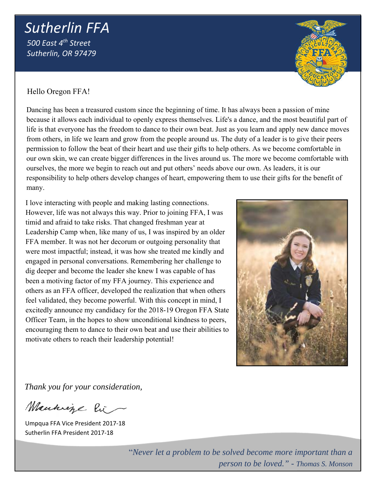# *Sutherlin FFA 500 East 4th Street Sutherlin, OR 97479*

Hello Oregon FFA!

Dancing has been a treasured custom since the beginning of time. It has always been a passion of mine because it allows each individual to openly express themselves. Life's a dance, and the most beautiful part of life is that everyone has the freedom to dance to their own beat. Just as you learn and apply new dance moves from others, in life we learn and grow from the people around us. The duty of a leader is to give their peers permission to follow the beat of their heart and use their gifts to help others. As we become comfortable in our own skin, we can create bigger differences in the lives around us. The more we become comfortable with ourselves, the more we begin to reach out and put others' needs above our own. As leaders, it is our responsibility to help others develop changes of heart, empowering them to use their gifts for the benefit of many.

I love interacting with people and making lasting connections. However, life was not always this way. Prior to joining FFA, I was timid and afraid to take risks. That changed freshman year at Leadership Camp when, like many of us, I was inspired by an older FFA member. It was not her decorum or outgoing personality that were most impactful; instead, it was how she treated me kindly and engaged in personal conversations. Remembering her challenge to dig deeper and become the leader she knew I was capable of has been a motiving factor of my FFA journey. This experience and others as an FFA officer, developed the realization that when others feel validated, they become powerful. With this concept in mind, I excitedly announce my candidacy for the 2018-19 Oregon FFA State Officer Team, in the hopes to show unconditional kindness to peers, encouraging them to dance to their own beat and use their abilities to motivate others to reach their leadership potential!

*Thank you for your consideration,* 

Manhige Pic

Umpqua FFA Vice President 2017‐18 Sutherlin FFA President 2017‐18

"*Never let a problem to be solved become more important than a person to be loved." - Thomas S. Monson*